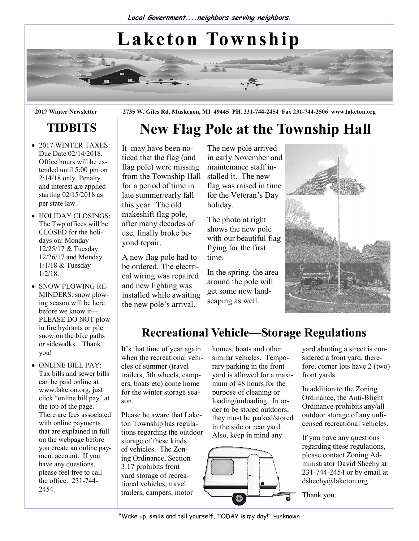# Laketon Township

2017 Winter Newsletter 2735 W. Giles Rd, Muskegon, MI 49445 PH. 231-744-2454 Fax 231-744-2506 www.laketon.org

New Flag Pole at the Township Hall

# TIDBITS

- 2017 WINTER TAXES: Due Date 02/14/2018. Office hours will be extended until 5:00 pm on 2/14/18 only. Penalty and interest are applied starting 02/15/2018 as per state law.
- HOLIDAY CLOSINGS: The Twp offices will be CLOSED for the holidays on: Monday 12/25/17 & Tuesday 12/26/17 and Monday 1/1/18 & Tuesday 1/2/18.
- SNOW PLOWING RE-MINDERS: snow plowing season will be here before we know it— PLEASE DO NOT plow in fire hydrants or pile snow on the bike paths or sidewalks. Thank you!
- ONLINE BILL PAY: Tax bills and sewer bills can be paid online at www.laketon.org, just click "online bill pay" at the top of the page. There are fees associated with online payments that are explained in full on the webpage before you create an online payment account. If you have any questions, please feel free to call the office: 231-744- 2454.

It may have been noticed that the flag (and flag pole) were missing from the Township Hall for a period of time in late summer/early fall this year. The old makeshift flag pole, after many decades of use, finally broke beyond repair.

A new flag pole had to be ordered. The electrical wiring was repaired and new lighting was installed while awaiting the new pole's arrival.

The new pole arrived in early November and maintenance staff installed it. The new flag was raised in time for the Veteran's Day holiday.

The photo at right shows the new pole with our beautiful flag flying for the first time.

In the spring, the area around the pole will get some new landscaping as well.



# Recreational Vehicle—Storage Regulations

It's that time of year again when the recreational vehicles of summer (travel trailers, 5th wheels, campers, boats etc) come home for the winter storage season.

Please be aware that Laketon Township has regulations regarding the outdoor storage of these kinds of vehicles. The Zoning Ordinance, Section 3.17 prohibits front yard storage of recreational vehicles; travel trailers, campers, motor

homes, boats and other similar vehicles. Temporary parking in the front yard is allowed for a maximum of 48 hours for the purpose of cleaning or loading/unloading. In order to be stored outdoors, they must be parked/stored in the side or rear yard. Also, keep in mind any



yard abutting a street is considered a front yard, therefore, corner lots have 2 (two) front yards.

In addition to the Zoning Ordinance, the Anti-Blight Ordinance prohibits any/all outdoor storage of any unlicensed recreational vehicles.

If you have any questions regarding these regulations, please contact Zoning Administrator David Sheehy at 231-744-2454 or by email at dsheehy@laketon.org

Thank you.